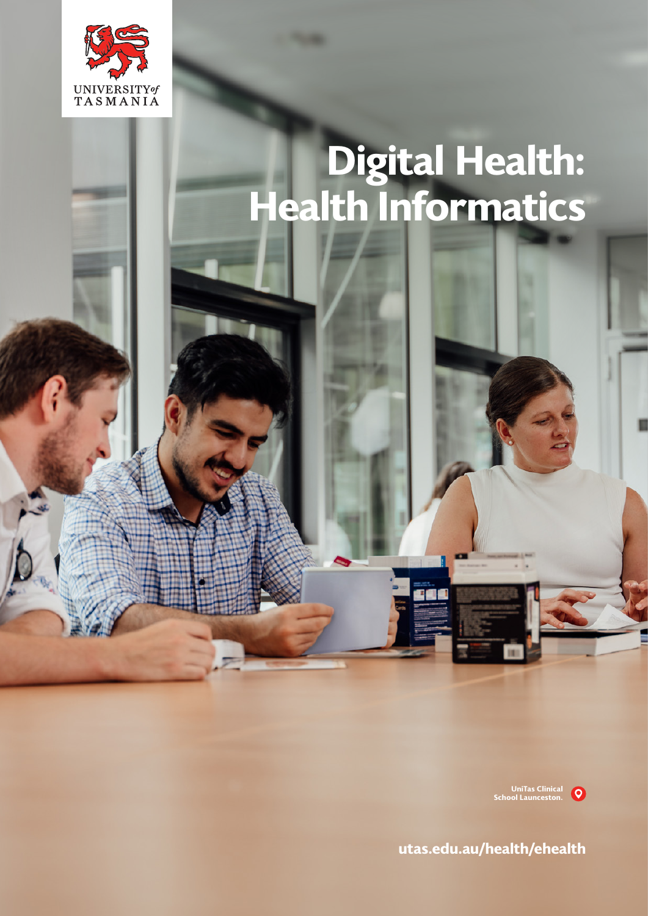

# **Digital Health: Health Informatics**

**UniTas Clinical School Launceston.**

**<utas.edu.au/health/ehealth>**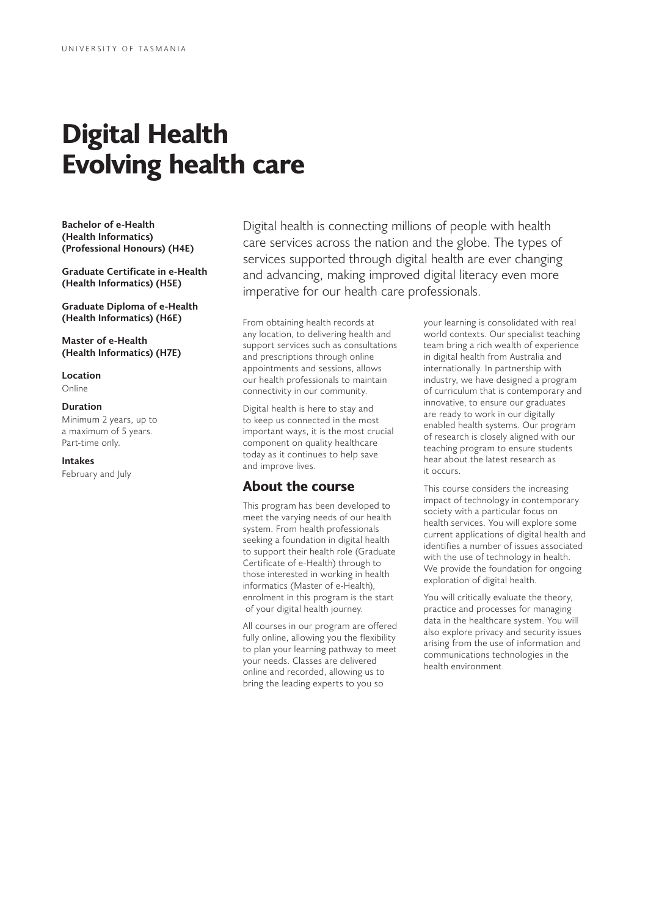# **Digital Health Evolving health care**

**Bachelor of e-Health (Health Informatics) (Professional Honours) (H4E)**

**Graduate Certificate in e-Health (Health Informatics) (H5E)**

**Graduate Diploma of e-Health (Health Informatics) (H6E)**

**Master of e-Health (Health Informatics) (H7E)**

#### **Location**

Online

#### **Duration**

Minimum 2 years, up to a maximum of 5 years. Part-time only.

#### **Intakes**

February and July

Digital health is connecting millions of people with health care services across the nation and the globe. The types of services supported through digital health are ever changing and advancing, making improved digital literacy even more imperative for our health care professionals.

From obtaining health records at any location, to delivering health and support services such as consultations and prescriptions through online appointments and sessions, allows our health professionals to maintain connectivity in our community.

Digital health is here to stay and to keep us connected in the most important ways, it is the most crucial component on quality healthcare today as it continues to help save and improve lives.

## **About the course**

This program has been developed to meet the varying needs of our health system. From health professionals seeking a foundation in digital health to support their health role (Graduate Certificate of e-Health) through to those interested in working in health informatics (Master of e-Health), enrolment in this program is the start of your digital health journey.

All courses in our program are offered fully online, allowing you the flexibility to plan your learning pathway to meet your needs. Classes are delivered online and recorded, allowing us to bring the leading experts to you so

your learning is consolidated with real world contexts. Our specialist teaching team bring a rich wealth of experience in digital health from Australia and internationally. In partnership with industry, we have designed a program of curriculum that is contemporary and innovative, to ensure our graduates are ready to work in our digitally enabled health systems. Our program of research is closely aligned with our teaching program to ensure students hear about the latest research as it occurs.

This course considers the increasing impact of technology in contemporary society with a particular focus on health services. You will explore some current applications of digital health and identifies a number of issues associated with the use of technology in health. We provide the foundation for ongoing exploration of digital health.

You will critically evaluate the theory, practice and processes for managing data in the healthcare system. You will also explore privacy and security issues arising from the use of information and communications technologies in the health environment.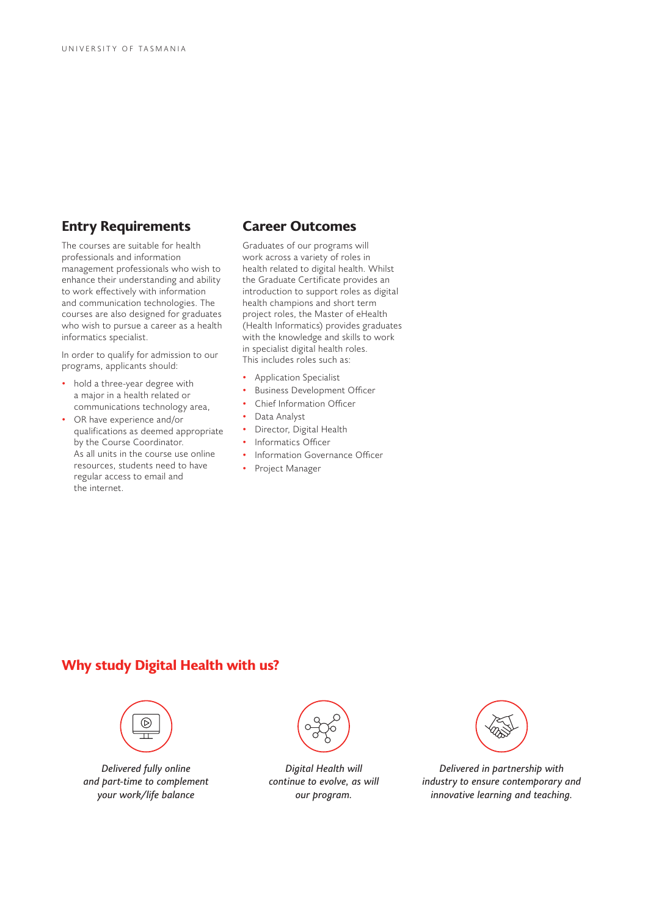# **Entry Requirements**

The courses are suitable for health professionals and information management professionals who wish to enhance their understanding and ability to work effectively with information and communication technologies. The courses are also designed for graduates who wish to pursue a career as a health informatics specialist.

In order to qualify for admission to our programs, applicants should:

- hold a three-year degree with a major in a health related or communications technology area,
- OR have experience and/or qualifications as deemed appropriate by the Course Coordinator. As all units in the course use online resources, students need to have regular access to email and the internet.

### **Career Outcomes**

Graduates of our programs will work across a variety of roles in health related to digital health. Whilst the Graduate Certificate provides an introduction to support roles as digital health champions and short term project roles, the Master of eHealth (Health Informatics) provides graduates with the knowledge and skills to work in specialist digital health roles. This includes roles such as:

- Application Specialist
- Business Development Officer
- Chief Information Officer
- Data Analyst
- Director, Digital Health
- Informatics Officer
- Information Governance Officer
- Project Manager

# **Why study Digital Health with us?**



*Delivered fully online and part-time to complement your work/life balance*



*Digital Health will continue to evolve, as will our program.*



*Delivered in partnership with industry to ensure contemporary and innovative learning and teaching.*